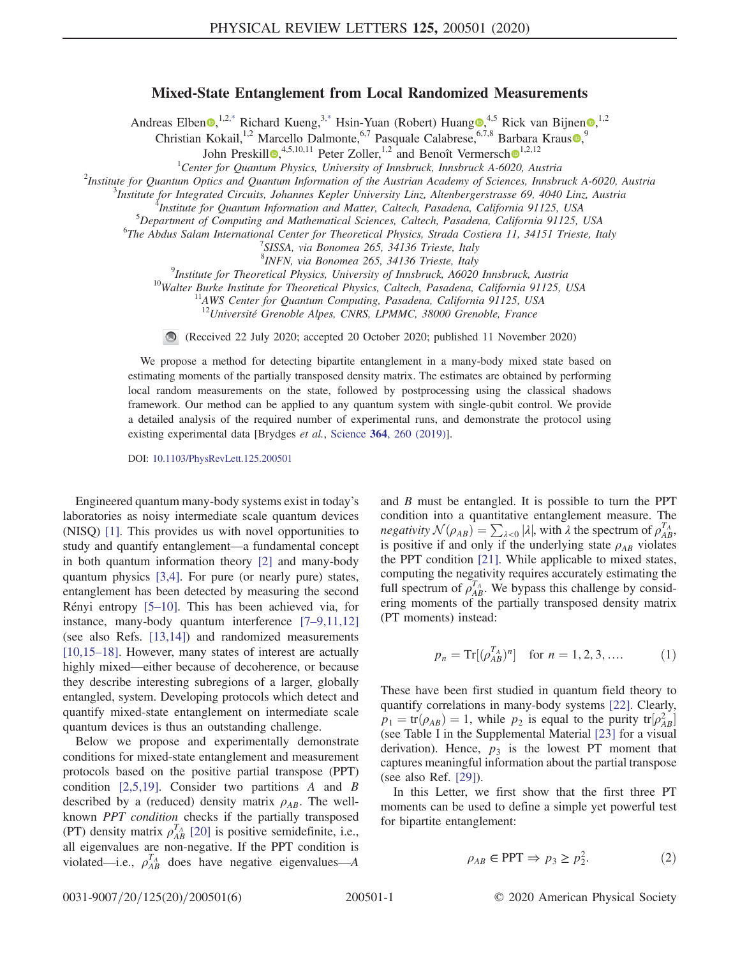## Mixed-State Entanglement from Local Randomized Measurements

Andreas Elben $\mathbf{Q}$ , 1,2[,\\*](#page-4-0) Richard Kueng, 3,\* Hsin-Yuan (Robert) Huang  $\mathbf{Q}$ , 4,5 Rick van Bijnen  $\mathbf{Q}$ , 1,2

Christian Kokail,<sup>1,2</sup> Marcello Dalmonte,<sup>6,7</sup> Pasquale Calabrese,<sup>6,7,8</sup> Barbara Kraus<sup>®</sup>,<sup>9</sup>

John Preskill  $\mathbf{\Theta}^{4,5,10,11}$  $\mathbf{\Theta}^{4,5,10,11}$  $\mathbf{\Theta}^{4,5,10,11}$  Peter Zoller, <sup>1,2</sup> and Benoît Vermersch  $\mathbf{\Theta}^{1,2,12}$ 

<span id="page-0-1"></span><sup>1</sup>Center for Quantum Physics, University of Innsbruck, Innsbruck A-6020, Austria<sup>2</sup><br><sup>2</sup>Institute for Quantum Optics and Quantum Information of the Austrian Academy of Sciences, Innsbr

<sup>2</sup>Institute for Quantum Optics and Quantum Information of the Austrian Academy of Sciences, Innsbruck A-6020, Austria

Institute for Integrated Circuits, Johannes Kepler University Linz, Altenbergerstrasse 69, 4040 Linz, Austria <sup>4</sup>

<sup>4</sup>Institute for Quantum Information and Matter, Caltech, Pasadena, California 91125, USA

 ${}^{5}$ Department of Computing and Mathematical Sciences, Caltech, Pasadena, California 91125, USA

<sup>6</sup>The Abdus Salam International Center for Theoretical Physics, Strada Costiera 11, 34151 Trieste, Italy

<sup>7</sup>SISSA, via Bonomea 265, 34136 Trieste, Italy

<sup>8</sup> INFN, via Bonomea 265, 34136 Trieste, Italy<br><sup>9</sup> Institute for Theoretical Physics, University of Innshmal, 46020

<sup>9</sup>Institute for Theoretical Physics, University of Innsbruck, A6020 Innsbruck, Austria<br><sup>10</sup>Walter Burke Institute for Theoretical Physics, Caltech, Pasadena, California 91125, USA<br><sup>11</sup>AWS Center for Quantum Computing, Pa

 $12$ Université Grenoble Alpes, CNRS, LPMMC, 38000 Grenoble, France

(Received 22 July 2020; accepted 20 October 2020; published 11 November 2020)

We propose a method for detecting bipartite entanglement in a many-body mixed state based on estimating moments of the partially transposed density matrix. The estimates are obtained by performing local random measurements on the state, followed by postprocessing using the classical shadows framework. Our method can be applied to any quantum system with single-qubit control. We provide a detailed analysis of the required number of experimental runs, and demonstrate the protocol using existing experimental data [Brydges et al., Science 364[, 260 \(2019\)](https://doi.org/10.1126/science.aau4963)].

DOI: [10.1103/PhysRevLett.125.200501](https://doi.org/10.1103/PhysRevLett.125.200501)

Engineered quantum many-body systems exist in today's laboratories as noisy intermediate scale quantum devices (NISQ) [\[1\].](#page-4-1) This provides us with novel opportunities to study and quantify entanglement—a fundamental concept in both quantum information theory [\[2\]](#page-4-2) and many-body quantum physics [\[3,4\].](#page-4-3) For pure (or nearly pure) states, entanglement has been detected by measuring the second Rényi entropy  $[5-10]$ . This has been achieved via, for instance, many-body quantum interference [7–[9,11,12\]](#page-4-5) (see also Refs. [\[13,14\]\)](#page-4-6) and randomized measurements [\[10,15](#page-4-7)–18]. However, many states of interest are actually highly mixed—either because of decoherence, or because they describe interesting subregions of a larger, globally entangled, system. Developing protocols which detect and quantify mixed-state entanglement on intermediate scale quantum devices is thus an outstanding challenge.

Below we propose and experimentally demonstrate conditions for mixed-state entanglement and measurement protocols based on the positive partial transpose (PPT) condition  $[2,5,19]$ . Consider two partitions A and B described by a (reduced) density matrix  $\rho_{AB}$ . The wellknown PPT condition checks if the partially transposed (PT) density matrix  $\rho_{AB}^{T_A}$  [\[20\]](#page-4-8) is positive semidefinite, i.e., all eigenvalues are non-negative. If the PPT condition is violated—i.e.,  $\rho_{AB}^{T_A}$  does have negative eigenvalues—A and B must be entangled. It is possible to turn the PPT condition into a quantitative entanglement measure. The *negativity*  $\mathcal{N}(\rho_{AB}) = \sum_{\lambda < 0} |\lambda|$ , with  $\lambda$  the spectrum of  $\rho_{AB}^{T_A}$ , is positive if and only if the underlying state  $\rho_{AB}$ , violates is positive if and only if the underlying state  $\rho_{AB}$  violates the PPT condition [\[21\].](#page-4-9) While applicable to mixed states, computing the negativity requires accurately estimating the full spectrum of  $\rho_{AB}^{T_A}$ . We bypass this challenge by considering moments of the partially transposed density matrix (PT moments) instead:

$$
p_n = \text{Tr}[(\rho_{AB}^{T_A})^n] \text{ for } n = 1, 2, 3, .... \qquad (1)
$$

These have been first studied in quantum field theory to quantify correlations in many-body systems [\[22\]](#page-4-10). Clearly,  $p_1 = \text{tr}(\rho_{AB}) = 1$ , while  $p_2$  is equal to the purity tr $[\rho_A^2]$ <br>(see Table I in the Supplemental Material [23] for a visi $p_1 = \text{tr}(\rho_{AB}) = 1$ , while  $p_2$  is equal to the purity  $\text{tr}(\rho_{AB}^2)$ <br>(see Table I in the Supplemental Material [\[23\]](#page-4-11) for a visual derivation). Hence,  $p_3$  is the lowest PT moment that captures meaningful information about the partial transpose (see also Ref. [\[29\]](#page-5-0)).

<span id="page-0-0"></span>In this Letter, we first show that the first three PT moments can be used to define a simple yet powerful test for bipartite entanglement:

$$
\rho_{AB} \in \text{PPT} \Rightarrow p_3 \ge p_2^2. \tag{2}
$$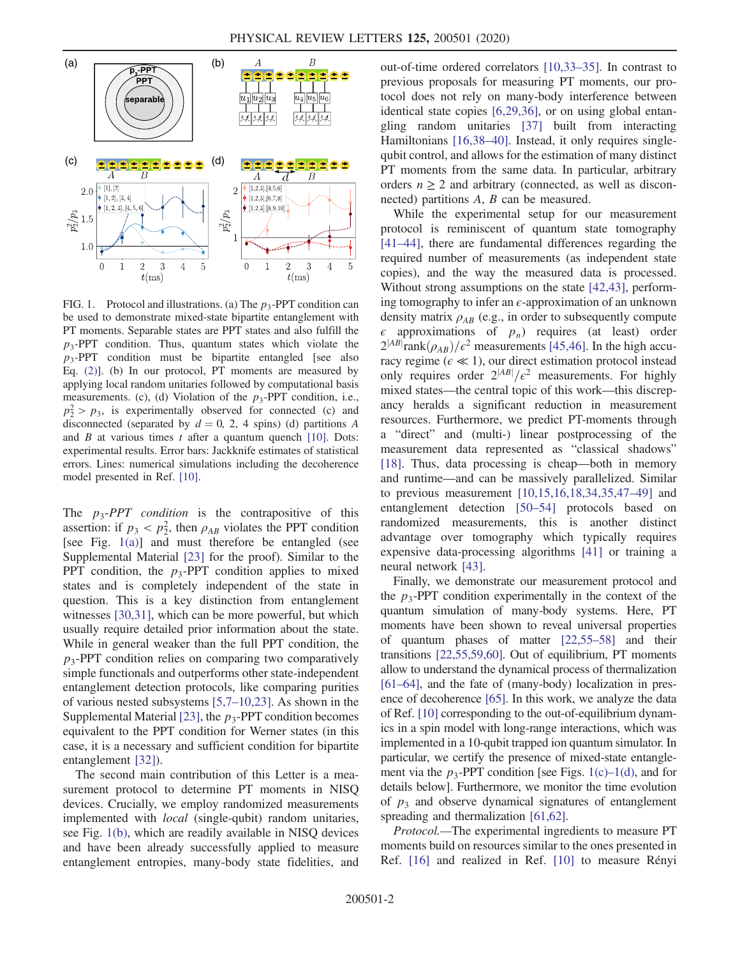<span id="page-1-0"></span>

FIG. 1. Protocol and illustrations. (a) The  $p_3$ -PPT condition can be used to demonstrate mixed-state bipartite entanglement with PT moments. Separable states are PPT states and also fulfill the  $p_3$ -PPT condition. Thus, quantum states which violate the  $p_3$ -PPT condition must be bipartite entangled [see also Eq. [\(2\)\]](#page-0-0). (b) In our protocol, PT moments are measured by applying local random unitaries followed by computational basis measurements. (c), (d) Violation of the  $p_3$ -PPT condition, i.e.,  $p_2^2 > p_3$ , is experimentally observed for connected (c) and disconnected (separated by  $d = 0, 2, 4$  spins) (d) partitions A and  $B$  at various times  $t$  after a quantum quench [\[10\].](#page-4-7) Dots: experimental results. Error bars: Jackknife estimates of statistical errors. Lines: numerical simulations including the decoherence model presented in Ref. [\[10\].](#page-4-7)

The  $p_3$ -PPT condition is the contrapositive of this assertion: if  $p_3 < p_2^2$ , then  $\rho_{AB}$  violates the PPT condition [see Fig. [1\(a\)\]](#page-1-0) and must therefore be entangled (see Supplemental Material [\[23\]](#page-4-11) for the proof). Similar to the PPT condition, the  $p_3$ -PPT condition applies to mixed states and is completely independent of the state in question. This is a key distinction from entanglement witnesses [\[30,31\],](#page-5-1) which can be more powerful, but which usually require detailed prior information about the state. While in general weaker than the full PPT condition, the  $p_3$ -PPT condition relies on comparing two comparatively simple functionals and outperforms other state-independent entanglement detection protocols, like comparing purities of various nested subsystems [5,7–[10,23\]](#page-4-4). As shown in the Supplemental Material [\[23\],](#page-4-11) the  $p_3$ -PPT condition becomes equivalent to the PPT condition for Werner states (in this case, it is a necessary and sufficient condition for bipartite entanglement [\[32\]\)](#page-5-2).

The second main contribution of this Letter is a measurement protocol to determine PT moments in NISQ devices. Crucially, we employ randomized measurements implemented with *local* (single-qubit) random unitaries, see Fig. [1\(b\)](#page-1-0), which are readily available in NISQ devices and have been already successfully applied to measure entanglement entropies, many-body state fidelities, and out-of-time ordered correlators [\[10,33](#page-4-7)–35]. In contrast to previous proposals for measuring PT moments, our protocol does not rely on many-body interference between identical state copies [\[6,29,36\]](#page-4-12), or on using global entangling random unitaries [\[37\]](#page-5-3) built from interacting Hamiltonians [\[16,38](#page-4-13)–40]. Instead, it only requires singlequbit control, and allows for the estimation of many distinct PT moments from the same data. In particular, arbitrary orders  $n > 2$  and arbitrary (connected, as well as disconnected) partitions A, B can be measured.

While the experimental setup for our measurement protocol is reminiscent of quantum state tomography [\[41](#page-5-4)–44], there are fundamental differences regarding the required number of measurements (as independent state copies), and the way the measured data is processed. Without strong assumptions on the state [\[42,43\],](#page-5-5) performing tomography to infer an  $\epsilon$ -approximation of an unknown density matrix  $\rho_{AB}$  (e.g., in order to subsequently compute  $\epsilon$  approximations of  $p_n$ ) requires (at least) order  $2^{|AB|}$ rank $(\rho_{AB})/\epsilon^2$  measurements [\[45,46\].](#page-5-6) In the high accuracy regime ( $\epsilon \ll 1$ ) our direct estimation protocol instead racy regime ( $\epsilon \ll 1$ ), our direct estimation protocol instead only requires order  $2^{|AB|}/\epsilon^2$  measurements. For highly mixed states—the central topic of this work—this discrepancy heralds a significant reduction in measurement resources. Furthermore, we predict PT-moments through a "direct" and (multi-) linear postprocessing of the measurement data represented as "classical shadows" [\[18\]](#page-4-14). Thus, data processing is cheap—both in memory and runtime—and can be massively parallelized. Similar to previous measurement [\[10,15,16,18,34,35,47](#page-4-7)–49] and entanglement detection [\[50](#page-5-7)–54] protocols based on randomized measurements, this is another distinct advantage over tomography which typically requires expensive data-processing algorithms [\[41\]](#page-5-4) or training a neural network [\[43\].](#page-5-8)

Finally, we demonstrate our measurement protocol and the  $p_3$ -PPT condition experimentally in the context of the quantum simulation of many-body systems. Here, PT moments have been shown to reveal universal properties of quantum phases of matter [\[22,55](#page-4-10)–58] and their transitions [\[22,55,59,60\].](#page-4-10) Out of equilibrium, PT moments allow to understand the dynamical process of thermalization [\[61](#page-5-9)–64], and the fate of (many-body) localization in presence of decoherence [\[65\]](#page-5-10). In this work, we analyze the data of Ref. [\[10\]](#page-4-7) corresponding to the out-of-equilibrium dynamics in a spin model with long-range interactions, which was implemented in a 10-qubit trapped ion quantum simulator. In particular, we certify the presence of mixed-state entanglement via the  $p_3$ -PPT condition [see Figs. 1(c)–[1\(d\)](#page-1-0), and for details below]. Furthermore, we monitor the time evolution of  $p_3$  and observe dynamical signatures of entanglement spreading and thermalization [\[61,62\]](#page-5-9).

Protocol.—The experimental ingredients to measure PT moments build on resources similar to the ones presented in Ref. [\[16\]](#page-4-13) and realized in Ref. [\[10\]](#page-4-7) to measure Rényi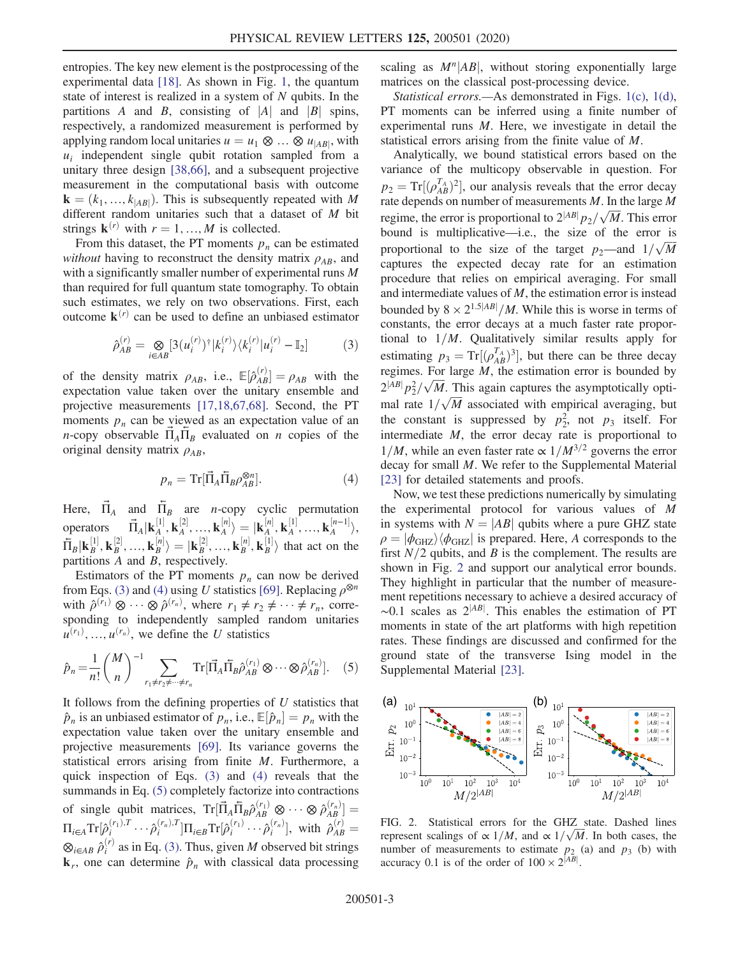entropies. The key new element is the postprocessing of the experimental data [\[18\].](#page-4-14) As shown in Fig. [1,](#page-1-0) the quantum state of interest is realized in a system of  $N$  qubits. In the partitions A and B, consisting of |A| and  $|B|$  spins, respectively, a randomized measurement is performed by applying random local unitaries  $u = u_1 \otimes \ldots \otimes u_{|AB|}$ , with  $u_i$  independent single qubit rotation sampled from a unitary three design [\[38,66\]](#page-5-11), and a subsequent projective measurement in the computational basis with outcome  ${\bf k} = (k_1, ..., k_{|AB|})$ . This is subsequently repeated with M different random unitaries such that a dataset of M bit strings  $\mathbf{k}^{(r)}$  with  $r = 1, ..., M$  is collected.

From this dataset, the PT moments  $p_n$  can be estimated without having to reconstruct the density matrix  $\rho_{AB}$ , and with a significantly smaller number of experimental runs M than required for full quantum state tomography. To obtain such estimates, we rely on two observations. First, each outcome  $\mathbf{k}^{(r)}$  can be used to define an unbiased estimator

<span id="page-2-0"></span>
$$
\hat{\rho}_{AB}^{(r)} = \underset{i \in AB}{\otimes} [3(u_i^{(r)})^{\dagger} |k_i^{(r)}\rangle \langle k_i^{(r)} |u_i^{(r)} - \mathbb{I}_2] \tag{3}
$$

<span id="page-2-1"></span>of the density matrix  $\rho_{AB}$ , i.e.,  $\mathbb{E}[\hat{\rho}_{AB}^{(r)}]$ <br>expectation value taken over the units  $\begin{bmatrix} {^{(r)}} \\ {^{AB}} \end{bmatrix} = \rho_{AB}$  with the expectation value taken over the unitary ensemble and projective measurements [\[17,18,67,68\].](#page-4-15) Second, the PT moments  $p_n$  can be viewed as an expectation value of an *n*-copy observable  $\Pi_A \Pi_B$  evaluated on *n* copies of the original density matrix  $\rho_{AB}$ ,

$$
p_n = \operatorname{Tr}[\vec{\Pi}_A \dot{\Pi}_B \rho_{AB}^{\otimes n}]. \tag{4}
$$

Here,  $\vec{\Pi}_A$  and  $\vec{\Pi}_B$  are *n*-copy cyclic permutation operators  $\vec{\Pi}_A | \mathbf{k}_A^{[1]}, \mathbf{k}_A^{[2]}, \dots, \mathbf{k}_A^{[n]} \rangle = | \mathbf{k}_A^{[n]}, \mathbf{k}_A^{[1]}, \dots, \mathbf{k}_A^{[n-1]} \rangle$  $\{\Pi_B | \mathbf{k}_B^{[1]}, \mathbf{k}_B^{[2]}, \dots, \mathbf{k}_B^{[n]} \rangle = |\mathbf{k}_B^{[2]}, \dots, \mathbf{k}_B^{[n]}, \mathbf{k}_B^{[1]} \rangle$  that act on the partitions A and B respectively partitions A and B, respectively.

Estimators of the PT moments  $p_n$  can now be derived from Eqs. [\(3\)](#page-2-0) and [\(4\)](#page-2-1) using U statistics [\[69\].](#page-5-12) Replacing  $\rho^{\otimes n}$ with  $\hat{\rho}^{(r_1)} \otimes \cdots \otimes \hat{\rho}^{(r_n)}$ , where  $r_1 \neq r_2 \neq \cdots \neq r_n$ , corresponding to independently sampled random unitaries  $u^{(r_1)}, \ldots, u^{(r_n)}$ , we define the U statistics

<span id="page-2-2"></span>
$$
\hat{p}_n = \frac{1}{n!} {M \choose n}^{-1} \sum_{r_1 \neq r_2 \neq \dots \neq r_n} \operatorname{Tr}[\vec{\Pi}_A \vec{\Pi}_B \hat{\rho}_{AB}^{(r_1)} \otimes \dots \otimes \hat{\rho}_{AB}^{(r_n)}]. \quad (5)
$$

It follows from the defining properties of  $U$  statistics that  $\hat{p}_n$  is an unbiased estimator of  $p_n$ , i.e.,  $\mathbb{E}[\hat{p}_n] = p_n$  with the expectation value taken over the unitary ensemble and expectation value taken over the unitary ensemble and projective measurements [\[69\]](#page-5-12). Its variance governs the statistical errors arising from finite M. Furthermore, a quick inspection of Eqs. [\(3\)](#page-2-0) and [\(4\)](#page-2-1) reveals that the summands in Eq. [\(5\)](#page-2-2) completely factorize into contractions of single qubit matrices,  $\text{Tr}[\vec{\Pi}_A \vec{\Pi}_B \hat{\rho}_{AB}^{(r_1)} \otimes \cdots \otimes \hat{\rho}_{AB}^{(r_n)}]$ or single qubit matrices,  $\prod_{i\in A} \prod_{j} (A_{i}B_{j})^{\wedge} \bigotimes_{j} \cdots \bigotimes_{j} \bigotimes_{j}^{j} = \prod_{i\in A} \prod_{i} (\hat{\rho}_{i}^{(r_{1})T} \cdots \hat{\rho}_{i}^{(r_{n})T}) \prod_{i\in B} \prod_{i\in B} (\hat{\rho}_{i}^{(r_{1})T} \cdots \hat{\rho}_{i}^{(r_{n})T})$ , with  $\hat{\rho}_{AB}^{(r)} =$  $\prod_{i\in B} \text{Tr}[\hat{\rho}_{i}^{(r_1)} \cdots \hat{\rho}_{i}^{(r_n)}]$  $\hat{\rho}_{AB}^{(r)}$ ], with  $\hat{\rho}_{AB}^{(r)}$  $AB =$  $\otimes_{i\in AB} \hat{\rho}_i^{(r)}$  as in Eq. [\(3\)](#page-2-0). Thus, given *M* observed bit strings  $\mathbf{k}_r$ , one can determine  $\hat{p}_n$  with classical data processing scaling as  $M^n|AB|$ , without storing exponentially large matrices on the classical post-processing device.

Statistical errors.—As demonstrated in Figs. [1\(c\)](#page-1-0), [1\(d\)](#page-1-0), PT moments can be inferred using a finite number of experimental runs M. Here, we investigate in detail the statistical errors arising from the finite value of M.

Analytically, we bound statistical errors based on the variance of the multicopy observable in question. For  $p_2 = \text{Tr}[(\rho_{AB}^{T_A})^2]$ , our analysis reveals that the error decay<br>rate depends on number of measurements M. In the large M rate depends on number of measurements  $M$ . In the large  $\dot{M}$ regime, the error is proportional to  $2^{|AB|} p_2 / \sqrt{M}$ . This error bound is multiplicative—i.e., the size of the error is proportional to the size of the target  $p_2$ —and  $1/\sqrt{M}$ captures the expected decay rate for an estimation procedure that relies on empirical averaging. For small and intermediate values of M, the estimation error is instead bounded by  $8 \times 2^{1.5|AB|}/M$ . While this is worse in terms of constants, the error decays at a much faster rate proportional to  $1/M$ . Qualitatively similar results apply for estimating  $p_3 = \text{Tr}[(\rho_{AB}^{T_A})^3]$ , but there can be three decay<br>regimes. For large M, the estimation error is bounded by regimes. For large  $M$ , the estimation error is bounded by  $2^{|AB|} p_2^2 / \sqrt{M}$ . This again captures the asymptotically optimal rate  $1/\sqrt{M}$  associated with empirical averaging, but the constant is suppressed by  $p_2^2$ , not  $p_3$  itself. For intermediate  $M$ , the error decay rate is proportional to  $1/M$ , while an even faster rate ∝  $1/M^{3/2}$  governs the error decay for small M. We refer to the Supplemental Material [\[23\]](#page-4-11) for detailed statements and proofs.

Now, we test these predictions numerically by simulating the experimental protocol for various values of M in systems with  $N = |AB|$  qubits where a pure GHZ state  $\rho = |\phi_{GHZ}\rangle\langle\phi_{GHZ}|$  is prepared. Here, A corresponds to the first  $N/2$  qubits, and B is the complement. The results are shown in Fig. [2](#page-2-3) and support our analytical error bounds. They highlight in particular that the number of measurement repetitions necessary to achieve a desired accuracy of  $\sim$ 0.1 scales as 2<sup>|AB|</sup>. This enables the estimation of PT moments in state of the art platforms with high repetition rates. These findings are discussed and confirmed for the ground state of the transverse Ising model in the Supplemental Material [\[23\].](#page-4-11)

<span id="page-2-3"></span>

FIG. 2. Statistical errors for the GHZ state. Dashed lines represent scalings of  $\propto 1/M$ , and  $\propto 1/\sqrt{M}$ . In both cases, the number of measurements to estimate  $p_2$  (a) and  $p_3$  (b) with accuracy 0.1 is of the order of  $100 \times 2^{\hat{A}\tilde{B}}$ .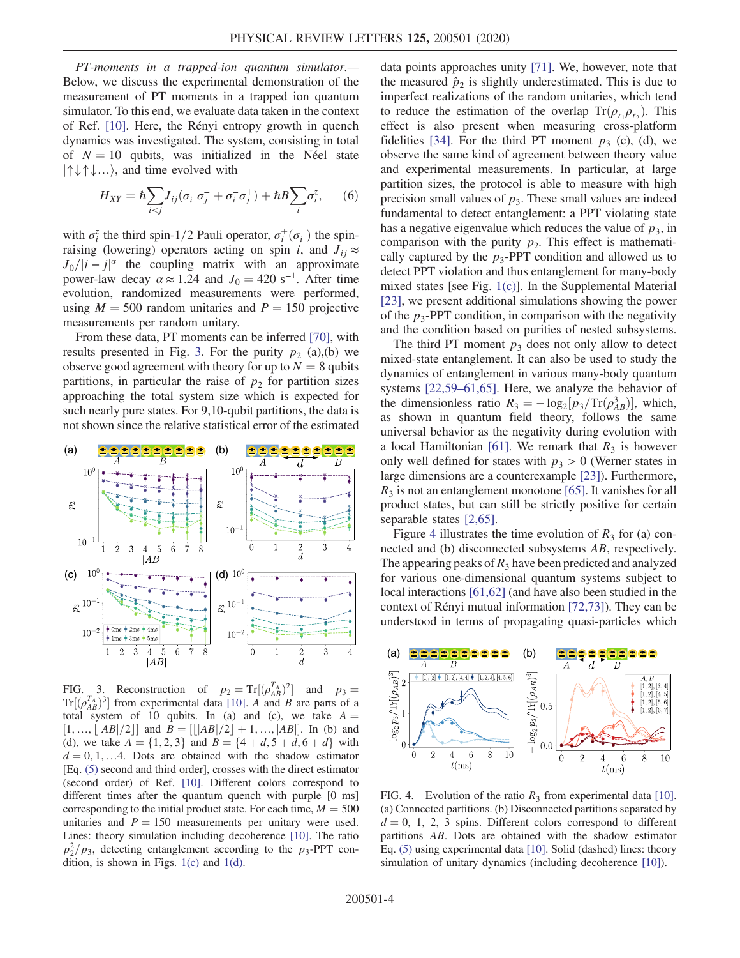PT-moments in a trapped-ion quantum simulator.— Below, we discuss the experimental demonstration of the measurement of PT moments in a trapped ion quantum simulator. To this end, we evaluate data taken in the context of Ref. [\[10\]](#page-4-7). Here, the Rényi entropy growth in quench dynamics was investigated. The system, consisting in total of  $N = 10$  qubits, was initialized in the Néel state  $|\uparrow\downarrow\uparrow\downarrow...\rangle$ , and time evolved with

$$
H_{XY} = \hbar \sum_{i < j} J_{ij} (\sigma_i^+ \sigma_j^- + \sigma_i^- \sigma_j^+) + \hbar B \sum_i \sigma_i^z, \qquad (6)
$$

with  $\sigma_i^z$  the third spin-1/2 Pauli operator,  $\sigma_i^+(\sigma_i^-)$  the spin-<br>raising (lowering) operators acting on spin *i* and *L*  $\approx$ raising (lowering) operators acting on spin *i*, and  $J_{ij} \approx$  $J_0/|i-j|^\alpha$  the coupling matrix with an approximate<br>nower-law decay  $\alpha \approx 1.24$  and  $J_0 = 420$  s<sup>-1</sup> After time power-law decay  $\alpha \approx 1.24$  and  $J_0 = 420 \text{ s}^{-1}$ . After time evolution, randomized measurements were performed, using  $M = 500$  random unitaries and  $P = 150$  projective measurements per random unitary.

From these data, PT moments can be inferred [\[70\]](#page-5-13), with results presented in Fig. [3.](#page-3-0) For the purity  $p_2$  (a),(b) we observe good agreement with theory for up to  $N = 8$  qubits partitions, in particular the raise of  $p_2$  for partition sizes approaching the total system size which is expected for such nearly pure states. For 9,10-qubit partitions, the data is not shown since the relative statistical error of the estimated

<span id="page-3-0"></span>

FIG. 3. Reconstruction of  $p_2 = \text{Tr}[(\rho_{AB}^{T_A})^2]$  and  $p_3 = \text{Tr}[(\rho_{AB}^{T_A})^3]$  from experimental data [10] A and R are parts of a  $Tr[(\rho_{AB}^{T_A})^3]$  from experimental data [\[10\]](#page-4-7). A and B are parts of a<br>total system of 10 oubits In (a) and (c) we take  $A =$ total system of 10 qubits. In (a) and (c), we take  $A =$ [1, ...,  $\lfloor |AB|/2 \rfloor$ ] and  $\hat{B} = \lfloor |AB|/2 \rfloor + 1$ , ...,  $|AB|$ ]. In (b) and (d) we take  $A = \{1, 2, 3\}$  and  $B = \{4 + d, 5 + d, 6 + d\}$  with (d), we take  $A = \{1, 2, 3\}$  and  $B = \{4 + d, 5 + d, 6 + d\}$  with  $d = 0, 1, \ldots 4$ . Dots are obtained with the shadow estimator [Eq. [\(5\)](#page-2-2) second and third order], crosses with the direct estimator (second order) of Ref. [\[10\].](#page-4-7) Different colors correspond to different times after the quantum quench with purple [0 ms] corresponding to the initial product state. For each time,  $M = 500$ unitaries and  $P = 150$  measurements per unitary were used. Lines: theory simulation including decoherence [\[10\].](#page-4-7) The ratio  $p_2^2/p_3$ , detecting entanglement according to the  $p_3$ -PPT condition, is shown in Figs.  $1(c)$  and  $1(d)$ .

data points approaches unity [\[71\].](#page-5-14) We, however, note that the measured  $\hat{p}_2$  is slightly underestimated. This is due to imperfect realizations of the random unitaries, which tend to reduce the estimation of the overlap  $Tr(\rho_{r_1}\rho_{r_2})$ . This<br>effect is also present when measuring cross-platform effect is also present when measuring cross-platform fidelities [\[34\].](#page-5-15) For the third PT moment  $p_3$  (c), (d), we observe the same kind of agreement between theory value and experimental measurements. In particular, at large partition sizes, the protocol is able to measure with high precision small values of  $p_3$ . These small values are indeed fundamental to detect entanglement: a PPT violating state has a negative eigenvalue which reduces the value of  $p_3$ , in comparison with the purity  $p_2$ . This effect is mathematically captured by the  $p_3$ -PPT condition and allowed us to detect PPT violation and thus entanglement for many-body mixed states [see Fig. [1\(c\)](#page-1-0)]. In the Supplemental Material [\[23\]](#page-4-11), we present additional simulations showing the power of the  $p_3$ -PPT condition, in comparison with the negativity and the condition based on purities of nested subsystems.

The third PT moment  $p_3$  does not only allow to detect mixed-state entanglement. It can also be used to study the dynamics of entanglement in various many-body quantum systems [22,59–[61,65\].](#page-4-10) Here, we analyze the behavior of the dimensionless ratio  $R_3 = -\log_2[p_3/\text{Tr}(\rho_{AB}^3)]$ , which, as shown in quantum field theory, follows the same universal behavior as the negativity during evolution with a local Hamiltonian [\[61\]](#page-5-9). We remark that  $R_3$  is however only well defined for states with  $p_3 > 0$  (Werner states in large dimensions are a counterexample [\[23\]\)](#page-4-11). Furthermore,  $R_3$  is not an entanglement monotone [\[65\]](#page-5-10). It vanishes for all product states, but can still be strictly positive for certain separable states [\[2,65\]](#page-4-2).

Figure [4](#page-3-1) illustrates the time evolution of  $R_3$  for (a) connected and (b) disconnected subsystems AB, respectively. The appearing peaks of  $R_3$  have been predicted and analyzed for various one-dimensional quantum systems subject to local interactions [\[61,62\]](#page-5-9) (and have also been studied in the context of Rényi mutual information [\[72,73\]](#page-5-16)). They can be understood in terms of propagating quasi-particles which

<span id="page-3-1"></span>

FIG. 4. Evolution of the ratio  $R_3$  from experimental data [\[10\].](#page-4-7) (a) Connected partitions. (b) Disconnected partitions separated by  $d = 0, 1, 2, 3$  spins. Different colors correspond to different partitions AB. Dots are obtained with the shadow estimator Eq. [\(5\)](#page-2-2) using experimental data [\[10\]](#page-4-7). Solid (dashed) lines: theory simulation of unitary dynamics (including decoherence [\[10\]\)](#page-4-7).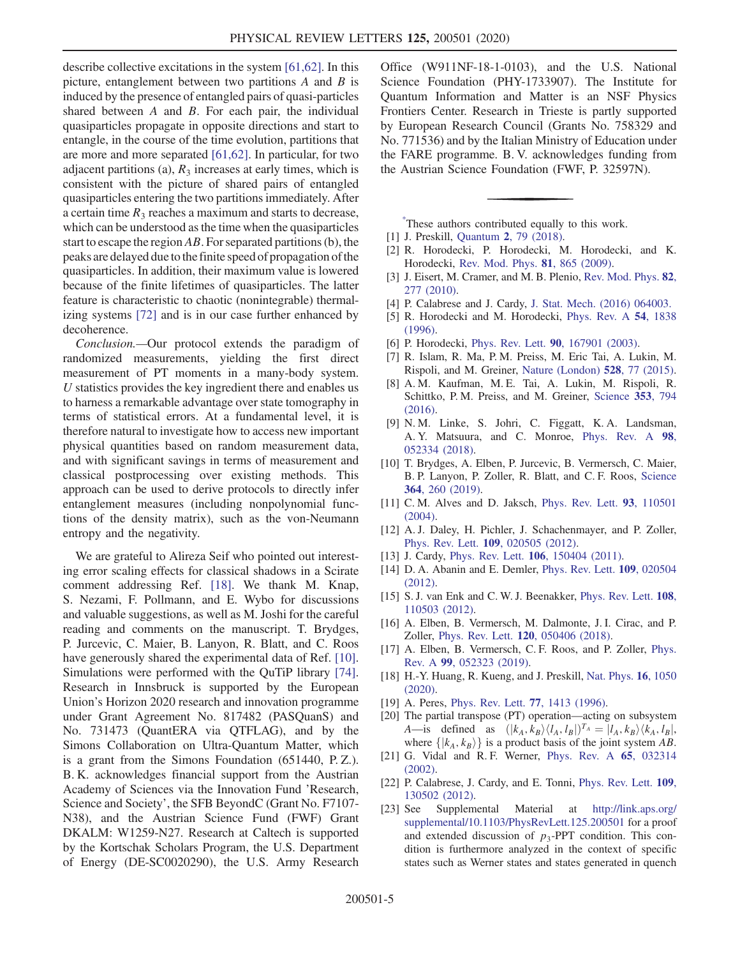describe collective excitations in the system [\[61,62\].](#page-5-9) In this picture, entanglement between two partitions A and B is induced by the presence of entangled pairs of quasi-particles shared between A and B. For each pair, the individual quasiparticles propagate in opposite directions and start to entangle, in the course of the time evolution, partitions that are more and more separated [\[61,62\]](#page-5-9). In particular, for two adjacent partitions (a),  $R_3$  increases at early times, which is consistent with the picture of shared pairs of entangled quasiparticles entering the two partitions immediately. After a certain time  $R_3$  reaches a maximum and starts to decrease, which can be understood as the time when the quasiparticles start to escape the region  $AB$ . For separated partitions (b), the peaks are delayed due to the finite speed of propagation of the quasiparticles. In addition, their maximum value is lowered because of the finite lifetimes of quasiparticles. The latter feature is characteristic to chaotic (nonintegrable) thermalizing systems [\[72\]](#page-5-16) and is in our case further enhanced by decoherence.

Conclusion.—Our protocol extends the paradigm of randomized measurements, yielding the first direct measurement of PT moments in a many-body system. U statistics provides the key ingredient there and enables us to harness a remarkable advantage over state tomography in terms of statistical errors. At a fundamental level, it is therefore natural to investigate how to access new important physical quantities based on random measurement data, and with significant savings in terms of measurement and classical postprocessing over existing methods. This approach can be used to derive protocols to directly infer entanglement measures (including nonpolynomial functions of the density matrix), such as the von-Neumann entropy and the negativity.

We are grateful to Alireza Seif who pointed out interesting error scaling effects for classical shadows in a Scirate comment addressing Ref. [\[18\].](#page-4-14) We thank M. Knap, S. Nezami, F. Pollmann, and E. Wybo for discussions and valuable suggestions, as well as M. Joshi for the careful reading and comments on the manuscript. T. Brydges, P. Jurcevic, C. Maier, B. Lanyon, R. Blatt, and C. Roos have generously shared the experimental data of Ref. [\[10\]](#page-4-7). Simulations were performed with the QuTiP library [\[74\]](#page-5-17). Research in Innsbruck is supported by the European Union's Horizon 2020 research and innovation programme under Grant Agreement No. 817482 (PASQuanS) and No. 731473 (QuantERA via QTFLAG), and by the Simons Collaboration on Ultra-Quantum Matter, which is a grant from the Simons Foundation (651440, P.Z.). B. K. acknowledges financial support from the Austrian Academy of Sciences via the Innovation Fund 'Research, Science and Society', the SFB BeyondC (Grant No. F7107- N38), and the Austrian Science Fund (FWF) Grant DKALM: W1259-N27. Research at Caltech is supported by the Kortschak Scholars Program, the U.S. Department of Energy (DE-SC0020290), the U.S. Army Research

Office (W911NF-18-1-0103), and the U.S. National Science Foundation (PHY-1733907). The Institute for Quantum Information and Matter is an NSF Physics Frontiers Center. Research in Trieste is partly supported by European Research Council (Grants No. 758329 and No. 771536) and by the Italian Ministry of Education under the FARE programme. B. V. acknowledges funding from the Austrian Science Foundation (FWF, P. 32597N).

<span id="page-4-1"></span><span id="page-4-0"></span>[\\*](#page-0-1) These authors contributed equally to this work. [1] J. Preskill, Quantum 2[, 79 \(2018\)](https://doi.org/10.22331/q-2018-08-06-79).

- <span id="page-4-2"></span>[2] R. Horodecki, P. Horodecki, M. Horodecki, and K. Horodecki, [Rev. Mod. Phys.](https://doi.org/10.1103/RevModPhys.81.865) 81, 865 (2009).
- <span id="page-4-3"></span>[3] J. Eisert, M. Cramer, and M. B. Plenio, [Rev. Mod. Phys.](https://doi.org/10.1103/RevModPhys.82.277) 82, [277 \(2010\)](https://doi.org/10.1103/RevModPhys.82.277).
- <span id="page-4-4"></span>[4] P. Calabrese and J. Cardy, [J. Stat. Mech. \(2016\) 064003.](https://doi.org/10.1088/1742-5468/2016/06/064003)
- <span id="page-4-12"></span>[5] R. Horodecki and M. Horodecki, [Phys. Rev. A](https://doi.org/10.1103/PhysRevA.54.1838) 54, 1838 [\(1996\).](https://doi.org/10.1103/PhysRevA.54.1838)
- <span id="page-4-5"></span>[6] P. Horodecki, Phys. Rev. Lett. **90**[, 167901 \(2003\).](https://doi.org/10.1103/PhysRevLett.90.167901)
- [7] R. Islam, R. Ma, P. M. Preiss, M. Eric Tai, A. Lukin, M. Rispoli, and M. Greiner, [Nature \(London\)](https://doi.org/10.1038/nature15750) 528, 77 (2015).
- [8] A. M. Kaufman, M. E. Tai, A. Lukin, M. Rispoli, R. Schittko, P. M. Preiss, and M. Greiner, [Science](https://doi.org/10.1126/science.aaf6725) 353, 794 [\(2016\).](https://doi.org/10.1126/science.aaf6725)
- [9] N. M. Linke, S. Johri, C. Figgatt, K. A. Landsman, A. Y. Matsuura, and C. Monroe, [Phys. Rev. A](https://doi.org/10.1103/PhysRevA.98.052334) 98, [052334 \(2018\).](https://doi.org/10.1103/PhysRevA.98.052334)
- <span id="page-4-7"></span>[10] T. Brydges, A. Elben, P. Jurcevic, B. Vermersch, C. Maier, B. P. Lanyon, P. Zoller, R. Blatt, and C. F. Roos, [Science](https://doi.org/10.1126/science.aau4963) 364[, 260 \(2019\)](https://doi.org/10.1126/science.aau4963).
- [11] C. M. Alves and D. Jaksch, [Phys. Rev. Lett.](https://doi.org/10.1103/PhysRevLett.93.110501) 93, 110501 [\(2004\).](https://doi.org/10.1103/PhysRevLett.93.110501)
- <span id="page-4-6"></span>[12] A. J. Daley, H. Pichler, J. Schachenmayer, and P. Zoller, Phys. Rev. Lett. 109[, 020505 \(2012\).](https://doi.org/10.1103/PhysRevLett.109.020505)
- [13] J. Cardy, Phys. Rev. Lett. **106**[, 150404 \(2011\)](https://doi.org/10.1103/PhysRevLett.106.150404).
- [14] D. A. Abanin and E. Demler, [Phys. Rev. Lett.](https://doi.org/10.1103/PhysRevLett.109.020504) 109, 020504 [\(2012\).](https://doi.org/10.1103/PhysRevLett.109.020504)
- <span id="page-4-13"></span>[15] S. J. van Enk and C. W. J. Beenakker, [Phys. Rev. Lett.](https://doi.org/10.1103/PhysRevLett.108.110503) 108, [110503 \(2012\).](https://doi.org/10.1103/PhysRevLett.108.110503)
- <span id="page-4-15"></span>[16] A. Elben, B. Vermersch, M. Dalmonte, J. I. Cirac, and P. Zoller, Phys. Rev. Lett. 120[, 050406 \(2018\)](https://doi.org/10.1103/PhysRevLett.120.050406).
- <span id="page-4-14"></span>[17] A. Elben, B. Vermersch, C. F. Roos, and P. Zoller, [Phys.](https://doi.org/10.1103/PhysRevA.99.052323) Rev. A 99[, 052323 \(2019\)](https://doi.org/10.1103/PhysRevA.99.052323).
- [18] H.-Y. Huang, R. Kueng, and J. Preskill, [Nat. Phys.](https://doi.org/10.1038/s41567-020-0932-7) 16, 1050 [\(2020\).](https://doi.org/10.1038/s41567-020-0932-7)
- <span id="page-4-8"></span>[19] A. Peres, *[Phys. Rev. Lett.](https://doi.org/10.1103/PhysRevLett.77.1413)* **77**, 1413 (1996).
- [20] The partial transpose (PT) operation—acting on subsystem A—is defined as  $(|k_A, k_B\rangle \langle l_A, l_B|)^{T_A} = |l_A, k_B\rangle \langle k_A, l_B|,$ where  $\{ |k_A, k_B\rangle \}$  is a product basis of the joint system AB.
- <span id="page-4-10"></span><span id="page-4-9"></span>[21] G. Vidal and R.F. Werner, [Phys. Rev. A](https://doi.org/10.1103/PhysRevA.65.032314) 65, 032314 [\(2002\).](https://doi.org/10.1103/PhysRevA.65.032314)
- <span id="page-4-11"></span>[22] P. Calabrese, J. Cardy, and E. Tonni, [Phys. Rev. Lett.](https://doi.org/10.1103/PhysRevLett.109.130502) 109, [130502 \(2012\).](https://doi.org/10.1103/PhysRevLett.109.130502)
- [23] See Supplemental Material at [http://link.aps.org/](http://link.aps.org/supplemental/10.1103/PhysRevLett.125.200501) [supplemental/10.1103/PhysRevLett.125.200501](http://link.aps.org/supplemental/10.1103/PhysRevLett.125.200501) for a proof and extended discussion of  $p_3$ -PPT condition. This condition is furthermore analyzed in the context of specific states such as Werner states and states generated in quench